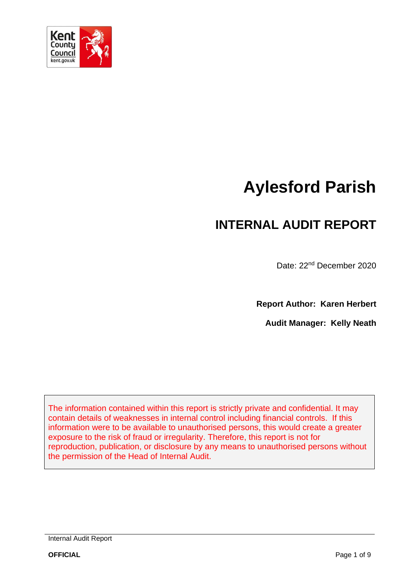

# **Aylesford Parish**

## **INTERNAL AUDIT REPORT**

Date: 22nd December 2020

**Report Author: Karen Herbert**

**Audit Manager: Kelly Neath**

The information contained within this report is strictly private and confidential. It may contain details of weaknesses in internal control including financial controls. If this information were to be available to unauthorised persons, this would create a greater exposure to the risk of fraud or irregularity. Therefore, this report is not for reproduction, publication, or disclosure by any means to unauthorised persons without the permission of the Head of Internal Audit.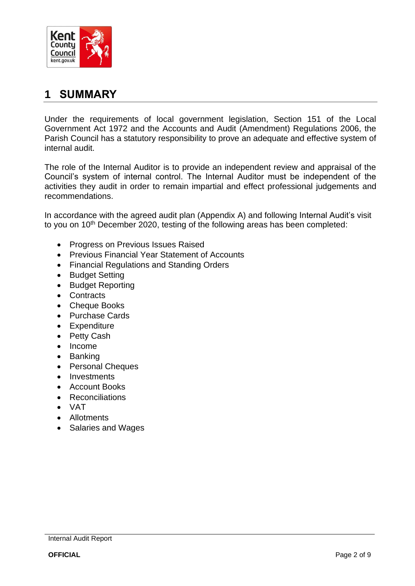

### **1 SUMMARY**

Under the requirements of local government legislation, Section 151 of the Local Government Act 1972 and the Accounts and Audit (Amendment) Regulations 2006, the Parish Council has a statutory responsibility to prove an adequate and effective system of internal audit.

The role of the Internal Auditor is to provide an independent review and appraisal of the Council's system of internal control. The Internal Auditor must be independent of the activities they audit in order to remain impartial and effect professional judgements and recommendations.

In accordance with the agreed audit plan (Appendix A) and following Internal Audit's visit to you on 10<sup>th</sup> December 2020, testing of the following areas has been completed:

- Progress on Previous Issues Raised
- Previous Financial Year Statement of Accounts
- Financial Regulations and Standing Orders
- Budget Setting
- Budget Reporting
- Contracts
- Cheque Books
- Purchase Cards
- Expenditure
- Petty Cash
- Income
- Banking
- Personal Cheques
- Investments
- Account Books
- Reconciliations
- VAT
- Allotments
- Salaries and Wages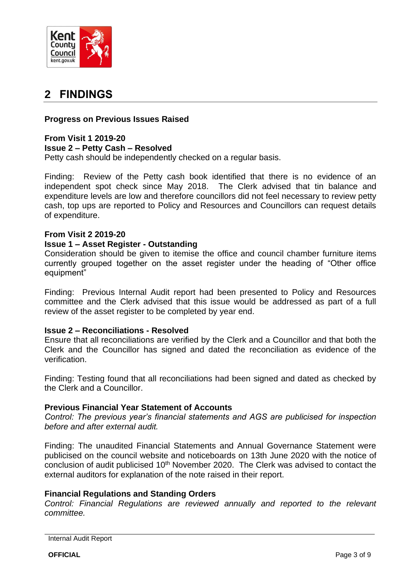

## **2 FINDINGS**

#### **Progress on Previous Issues Raised**

#### **From Visit 1 2019-20 Issue 2 – Petty Cash – Resolved**

Petty cash should be independently checked on a regular basis.

Finding: Review of the Petty cash book identified that there is no evidence of an independent spot check since May 2018. The Clerk advised that tin balance and expenditure levels are low and therefore councillors did not feel necessary to review petty cash, top ups are reported to Policy and Resources and Councillors can request details of expenditure.

#### **From Visit 2 2019-20**

#### **Issue 1 – Asset Register - Outstanding**

Consideration should be given to itemise the office and council chamber furniture items currently grouped together on the asset register under the heading of "Other office equipment"

Finding: Previous Internal Audit report had been presented to Policy and Resources committee and the Clerk advised that this issue would be addressed as part of a full review of the asset register to be completed by year end.

#### **Issue 2 – Reconciliations - Resolved**

Ensure that all reconciliations are verified by the Clerk and a Councillor and that both the Clerk and the Councillor has signed and dated the reconciliation as evidence of the verification.

Finding: Testing found that all reconciliations had been signed and dated as checked by the Clerk and a Councillor.

#### **Previous Financial Year Statement of Accounts**

*Control: The previous year's financial statements and AGS are publicised for inspection before and after external audit.*

Finding: The unaudited Financial Statements and Annual Governance Statement were publicised on the council website and noticeboards on 13th June 2020 with the notice of conclusion of audit publicised 10<sup>th</sup> November 2020. The Clerk was advised to contact the external auditors for explanation of the note raised in their report.

#### **Financial Regulations and Standing Orders**

*Control: Financial Regulations are reviewed annually and reported to the relevant committee.*

Internal Audit Report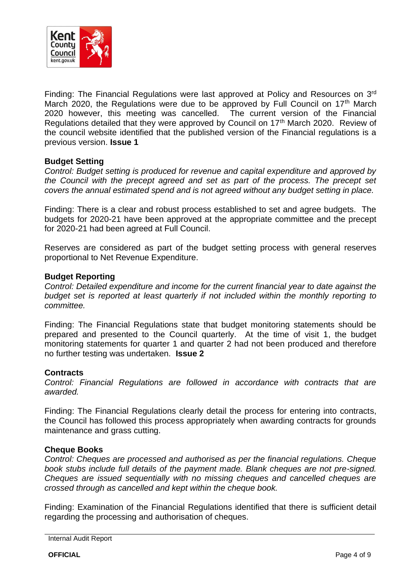

Finding: The Financial Regulations were last approved at Policy and Resources on  $3<sup>rd</sup>$ March 2020, the Regulations were due to be approved by Full Council on  $17<sup>th</sup>$  March 2020 however, this meeting was cancelled. The current version of the Financial Regulations detailed that they were approved by Council on 17<sup>th</sup> March 2020. Review of the council website identified that the published version of the Financial regulations is a previous version. **Issue 1**

#### **Budget Setting**

*Control: Budget setting is produced for revenue and capital expenditure and approved by the Council with the precept agreed and set as part of the process. The precept set covers the annual estimated spend and is not agreed without any budget setting in place.*

Finding: There is a clear and robust process established to set and agree budgets. The budgets for 2020-21 have been approved at the appropriate committee and the precept for 2020-21 had been agreed at Full Council.

Reserves are considered as part of the budget setting process with general reserves proportional to Net Revenue Expenditure.

#### **Budget Reporting**

*Control: Detailed expenditure and income for the current financial year to date against the budget set is reported at least quarterly if not included within the monthly reporting to committee.*

Finding: The Financial Regulations state that budget monitoring statements should be prepared and presented to the Council quarterly. At the time of visit 1, the budget monitoring statements for quarter 1 and quarter 2 had not been produced and therefore no further testing was undertaken. **Issue 2**

#### **Contracts**

*Control: Financial Regulations are followed in accordance with contracts that are awarded.*

Finding: The Financial Regulations clearly detail the process for entering into contracts, the Council has followed this process appropriately when awarding contracts for grounds maintenance and grass cutting.

#### **Cheque Books**

*Control: Cheques are processed and authorised as per the financial regulations. Cheque book stubs include full details of the payment made. Blank cheques are not pre-signed. Cheques are issued sequentially with no missing cheques and cancelled cheques are crossed through as cancelled and kept within the cheque book.*

Finding: Examination of the Financial Regulations identified that there is sufficient detail regarding the processing and authorisation of cheques.

Internal Audit Report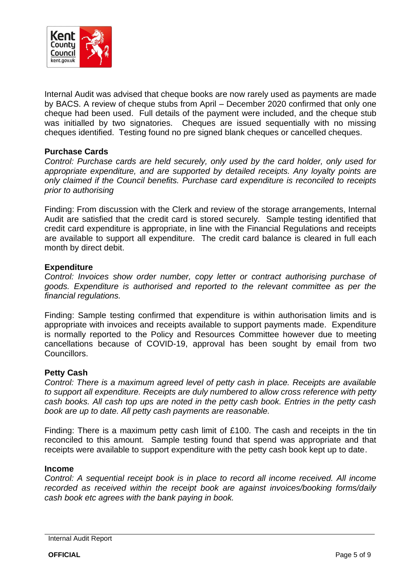

Internal Audit was advised that cheque books are now rarely used as payments are made by BACS. A review of cheque stubs from April – December 2020 confirmed that only one cheque had been used. Full details of the payment were included, and the cheque stub was initialled by two signatories. Cheques are issued sequentially with no missing cheques identified. Testing found no pre signed blank cheques or cancelled cheques.

#### **Purchase Cards**

*Control: Purchase cards are held securely, only used by the card holder, only used for appropriate expenditure, and are supported by detailed receipts. Any loyalty points are only claimed if the Council benefits. Purchase card expenditure is reconciled to receipts prior to authorising*

Finding: From discussion with the Clerk and review of the storage arrangements, Internal Audit are satisfied that the credit card is stored securely. Sample testing identified that credit card expenditure is appropriate, in line with the Financial Regulations and receipts are available to support all expenditure. The credit card balance is cleared in full each month by direct debit.

#### **Expenditure**

*Control: Invoices show order number, copy letter or contract authorising purchase of goods. Expenditure is authorised and reported to the relevant committee as per the financial regulations.*

Finding: Sample testing confirmed that expenditure is within authorisation limits and is appropriate with invoices and receipts available to support payments made. Expenditure is normally reported to the Policy and Resources Committee however due to meeting cancellations because of COVID-19, approval has been sought by email from two Councillors.

#### **Petty Cash**

*Control: There is a maximum agreed level of petty cash in place. Receipts are available to support all expenditure. Receipts are duly numbered to allow cross reference with petty cash books. All cash top ups are noted in the petty cash book. Entries in the petty cash book are up to date. All petty cash payments are reasonable.* 

Finding: There is a maximum petty cash limit of £100. The cash and receipts in the tin reconciled to this amount. Sample testing found that spend was appropriate and that receipts were available to support expenditure with the petty cash book kept up to date.

#### **Income**

*Control: A sequential receipt book is in place to record all income received. All income recorded as received within the receipt book are against invoices/booking forms/daily cash book etc agrees with the bank paying in book.*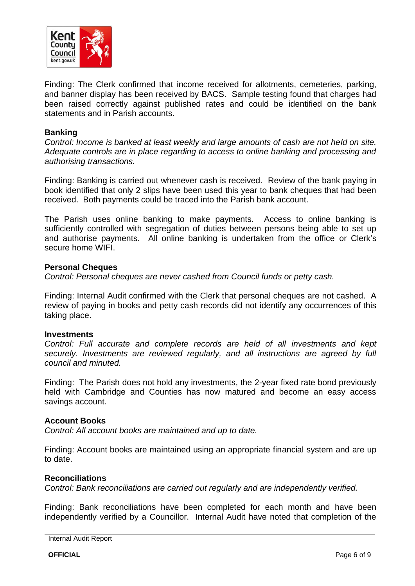

Finding: The Clerk confirmed that income received for allotments, cemeteries, parking, and banner display has been received by BACS. Sample testing found that charges had been raised correctly against published rates and could be identified on the bank statements and in Parish accounts.

#### **Banking**

*Control: Income is banked at least weekly and large amounts of cash are not held on site. Adequate controls are in place regarding to access to online banking and processing and authorising transactions.*

Finding: Banking is carried out whenever cash is received. Review of the bank paying in book identified that only 2 slips have been used this year to bank cheques that had been received. Both payments could be traced into the Parish bank account.

The Parish uses online banking to make payments. Access to online banking is sufficiently controlled with segregation of duties between persons being able to set up and authorise payments. All online banking is undertaken from the office or Clerk's secure home WIFI.

#### **Personal Cheques**

*Control: Personal cheques are never cashed from Council funds or petty cash.*

Finding: Internal Audit confirmed with the Clerk that personal cheques are not cashed. A review of paying in books and petty cash records did not identify any occurrences of this taking place.

#### **Investments**

*Control: Full accurate and complete records are held of all investments and kept securely. Investments are reviewed regularly, and all instructions are agreed by full council and minuted.*

Finding: The Parish does not hold any investments, the 2-year fixed rate bond previously held with Cambridge and Counties has now matured and become an easy access savings account.

#### **Account Books**

*Control: All account books are maintained and up to date.*

Finding: Account books are maintained using an appropriate financial system and are up to date.

#### **Reconciliations**

*Control: Bank reconciliations are carried out regularly and are independently verified.*

Finding: Bank reconciliations have been completed for each month and have been independently verified by a Councillor. Internal Audit have noted that completion of the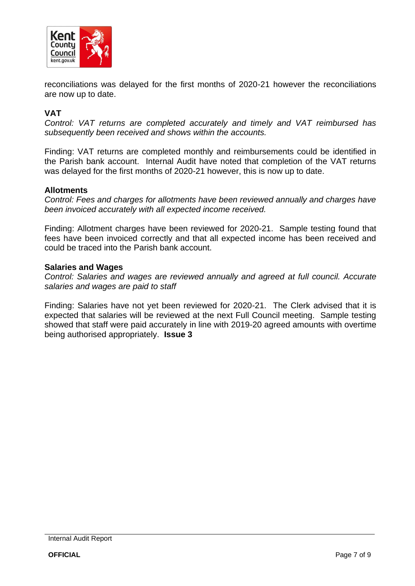

reconciliations was delayed for the first months of 2020-21 however the reconciliations are now up to date.

#### **VAT**

*Control: VAT returns are completed accurately and timely and VAT reimbursed has subsequently been received and shows within the accounts.*

Finding: VAT returns are completed monthly and reimbursements could be identified in the Parish bank account. Internal Audit have noted that completion of the VAT returns was delayed for the first months of 2020-21 however, this is now up to date.

#### **Allotments**

*Control: Fees and charges for allotments have been reviewed annually and charges have been invoiced accurately with all expected income received.*

Finding: Allotment charges have been reviewed for 2020-21. Sample testing found that fees have been invoiced correctly and that all expected income has been received and could be traced into the Parish bank account.

#### **Salaries and Wages**

*Control: Salaries and wages are reviewed annually and agreed at full council. Accurate salaries and wages are paid to staff*

Finding: Salaries have not yet been reviewed for 2020-21. The Clerk advised that it is expected that salaries will be reviewed at the next Full Council meeting. Sample testing showed that staff were paid accurately in line with 2019-20 agreed amounts with overtime being authorised appropriately. **Issue 3**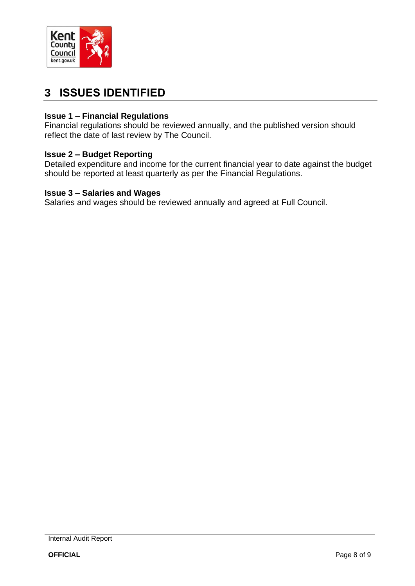

## **3 ISSUES IDENTIFIED**

#### **Issue 1 – Financial Regulations**

Financial regulations should be reviewed annually, and the published version should reflect the date of last review by The Council.

#### **Issue 2 – Budget Reporting**

Detailed expenditure and income for the current financial year to date against the budget should be reported at least quarterly as per the Financial Regulations.

#### **Issue 3 – Salaries and Wages**

Salaries and wages should be reviewed annually and agreed at Full Council.